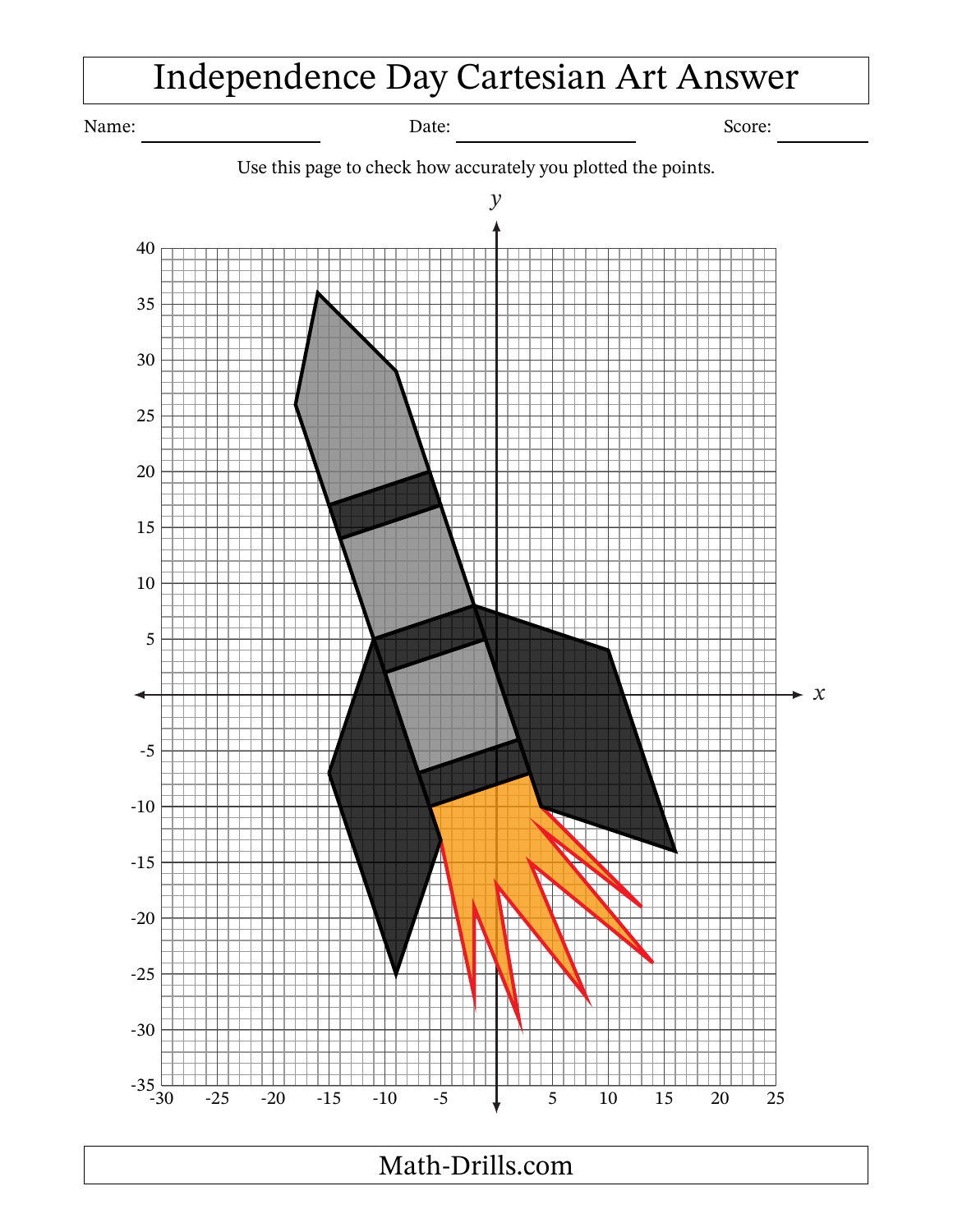## Independence Day Cartesian Art Answer

Name: Score: Date: Date: Score: Score: Score: Score: Score: Score: Score: Score: Score: Score: Score: Score: Score: Score: Score: Score: Score: Score: Score: Score: Score: Score: Score: Score: Score: Score: Score: Score: S

Use this page to check how accurately you plotted the points.



Math-Drills.com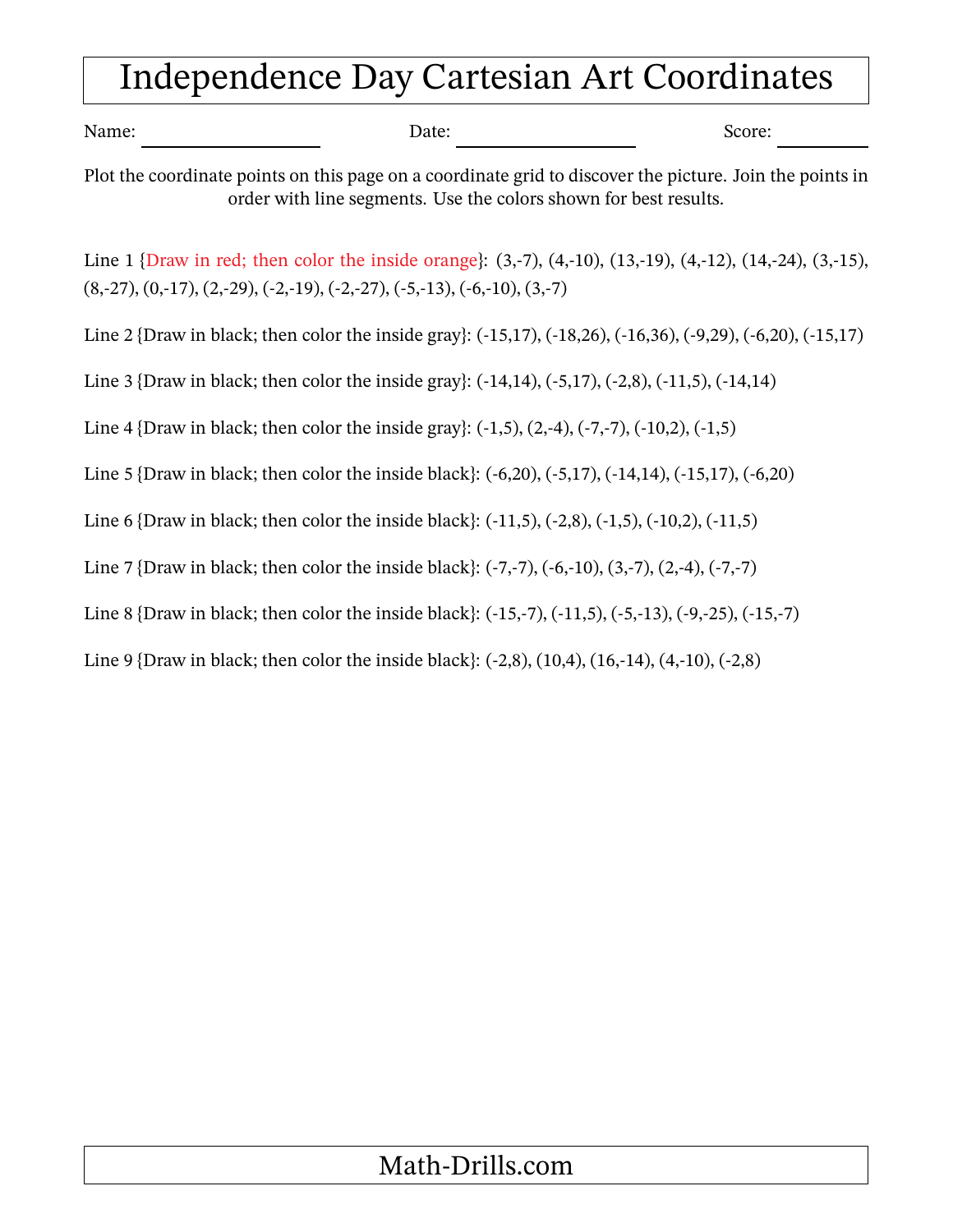## Independence Day Cartesian Art Coordinates

| Name: | Date:                                                                                                              | Score:                                                                                                                             |
|-------|--------------------------------------------------------------------------------------------------------------------|------------------------------------------------------------------------------------------------------------------------------------|
|       | order with line segments. Use the colors shown for best results.                                                   | Plot the coordinate points on this page on a coordinate grid to discover the picture. Join the points in                           |
|       | $(8,27), (0,17), (2,29), (-2,19), (-2,27), (-5,13), (-6,10), (3,7)$                                                | Line 1 {Draw in red; then color the inside orange}: $(3, -7)$ , $(4, -10)$ , $(13, -19)$ , $(4, -12)$ , $(14, -24)$ , $(3, -15)$ , |
|       |                                                                                                                    | Line 2 {Draw in black; then color the inside gray}: (-15,17), (-18,26), (-16,36), (-9,29), (-6,20), (-15,17)                       |
|       | Line 3 {Draw in black; then color the inside gray}: $(-14,14)$ , $(-5,17)$ , $(-2,8)$ , $(-11,5)$ , $(-14,14)$     |                                                                                                                                    |
|       | Line 4 {Draw in black; then color the inside gray}: $(-1,5)$ , $(2,-4)$ , $(-7,-7)$ , $(-10,2)$ , $(-1,5)$         |                                                                                                                                    |
|       | Line 5 {Draw in black; then color the inside black}: $(-6,20)$ , $(-5,17)$ , $(-14,14)$ , $(-15,17)$ , $(-6,20)$   |                                                                                                                                    |
|       | Line 6 {Draw in black; then color the inside black}: $(-11,5)$ , $(-2,8)$ , $(-1,5)$ , $(-10,2)$ , $(-11,5)$       |                                                                                                                                    |
|       | Line 7 {Draw in black; then color the inside black}: $(-7,-7)$ , $(-6,-10)$ , $(3,-7)$ , $(2,-4)$ , $(-7,-7)$      |                                                                                                                                    |
|       | Line 8 {Draw in black; then color the inside black}: $(-15,-7)$ , $(-11,5)$ , $(-5,-13)$ , $(-9,-25)$ , $(-15,-7)$ |                                                                                                                                    |
|       | Line 9 {Draw in black; then color the inside black}: $(-2,8)$ , $(10,4)$ , $(16,-14)$ , $(4,-10)$ , $(-2,8)$       |                                                                                                                                    |